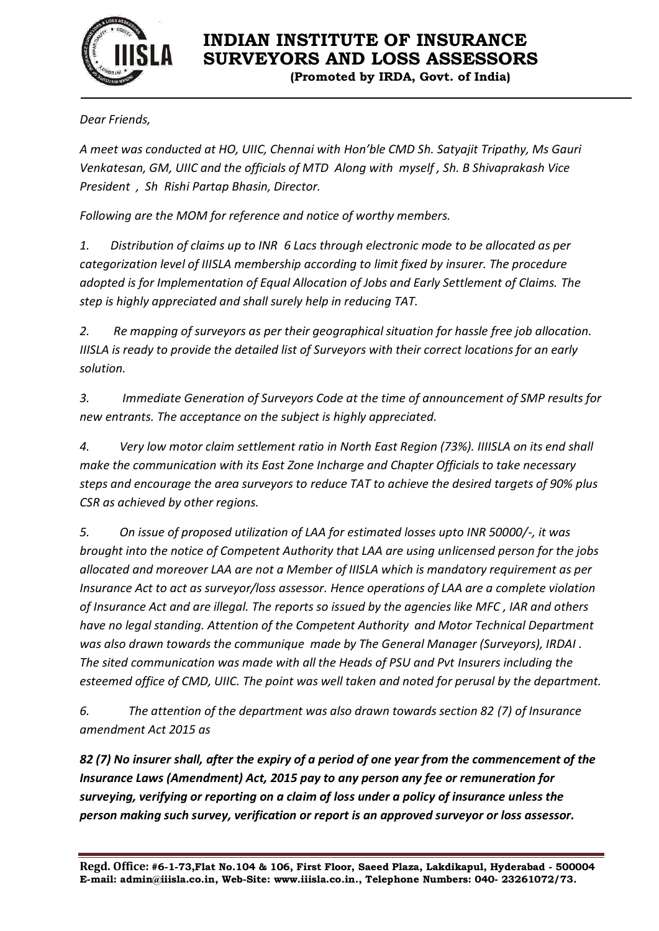

## **INDIAN INSTITUTE OF INSURANCE SURVEYORS AND LOSS ASSESSORS**

**(Promoted by IRDA, Govt. of India)**

*Dear Friends,*

*A meet was conducted at HO, UIIC, Chennai with Hon'ble CMD Sh. Satyajit Tripathy, Ms Gauri Venkatesan, GM, UIIC and the officials of MTD Along with myself , Sh. B Shivaprakash Vice President , Sh Rishi Partap Bhasin, Director.* 

*Following are the MOM for reference and notice of worthy members.* 

*1. Distribution of claims up to INR 6 Lacs through electronic mode to be allocated as per categorization level of IIISLA membership according to limit fixed by insurer. The procedure adopted is for Implementation of Equal Allocation of Jobs and Early Settlement of Claims. The step is highly appreciated and shall surely help in reducing TAT.* 

*2. Re mapping of surveyors as per their geographical situation for hassle free job allocation. IIISLA is ready to provide the detailed list of Surveyors with their correct locations for an early solution.* 

*3. Immediate Generation of Surveyors Code at the time of announcement of SMP results for new entrants. The acceptance on the subject is highly appreciated.* 

*4. Very low motor claim settlement ratio in North East Region (73%). IIIISLA on its end shall make the communication with its East Zone Incharge and Chapter Officials to take necessary steps and encourage the area surveyors to reduce TAT to achieve the desired targets of 90% plus CSR as achieved by other regions.* 

*5. On issue of proposed utilization of LAA for estimated losses upto INR 50000/-, it was brought into the notice of Competent Authority that LAA are using unlicensed person for the jobs allocated and moreover LAA are not a Member of IIISLA which is mandatory requirement as per Insurance Act to act as surveyor/loss assessor. Hence operations of LAA are a complete violation of Insurance Act and are illegal. The reports so issued by the agencies like MFC , IAR and others have no legal standing. Attention of the Competent Authority and Motor Technical Department was also drawn towards the communique made by The General Manager (Surveyors), IRDAI . The sited communication was made with all the Heads of PSU and Pvt Insurers including the esteemed office of CMD, UIIC. The point was well taken and noted for perusal by the department.* 

*6. The attention of the department was also drawn towards section 82 (7) of Insurance amendment Act 2015 as*

*82 (7) No insurer shall, after the expiry of a period of one year from the commencement of the Insurance Laws (Amendment) Act, 2015 pay to any person any fee or remuneration for surveying, verifying or reporting on a claim of loss under a policy of insurance unless the person making such survey, verification or report is an approved surveyor or loss assessor.*